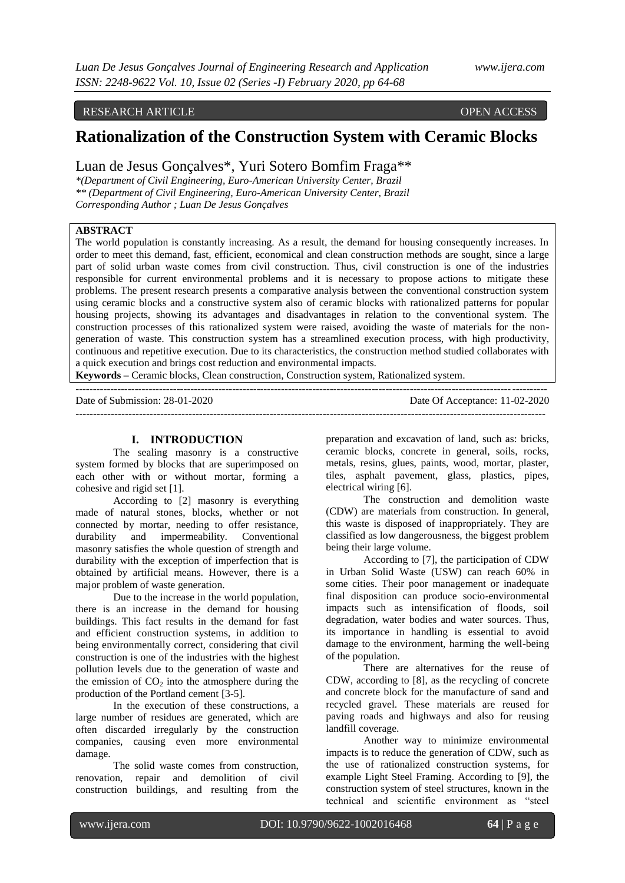## RESEARCH ARTICLE OPEN ACCESS

# **Rationalization of the Construction System with Ceramic Blocks**

Luan de Jesus Gonçalves\*, Yuri Sotero Bomfim Fraga\*\*

*\*(Department of Civil Engineering, Euro-American University Center, Brazil \*\* (Department of Civil Engineering, Euro-American University Center, Brazil Corresponding Author ; Luan De Jesus Gonçalves*

### **ABSTRACT**

The world population is constantly increasing. As a result, the demand for housing consequently increases. In order to meet this demand, fast, efficient, economical and clean construction methods are sought, since a large part of solid urban waste comes from civil construction. Thus, civil construction is one of the industries responsible for current environmental problems and it is necessary to propose actions to mitigate these problems. The present research presents a comparative analysis between the conventional construction system using ceramic blocks and a constructive system also of ceramic blocks with rationalized patterns for popular housing projects, showing its advantages and disadvantages in relation to the conventional system. The construction processes of this rationalized system were raised, avoiding the waste of materials for the nongeneration of waste. This construction system has a streamlined execution process, with high productivity, continuous and repetitive execution. Due to its characteristics, the construction method studied collaborates with a quick execution and brings cost reduction and environmental impacts.

**Keywords –** Ceramic blocks, Clean construction, Construction system, Rationalized system.

--------------------------------------------------------------------------------------------------------------------------------------- Date Of Acceptance: 11-02-2020 -------------------------------------------------------------------------------------------------------------------------------------

#### **I. INTRODUCTION**

The sealing masonry is a constructive system formed by blocks that are superimposed on each other with or without mortar, forming a cohesive and rigid set [1].

According to [2] masonry is everything made of natural stones, blocks, whether or not connected by mortar, needing to offer resistance, durability and impermeability. Conventional masonry satisfies the whole question of strength and durability with the exception of imperfection that is obtained by artificial means. However, there is a major problem of waste generation.

Due to the increase in the world population, there is an increase in the demand for housing buildings. This fact results in the demand for fast and efficient construction systems, in addition to being environmentally correct, considering that civil construction is one of the industries with the highest pollution levels due to the generation of waste and the emission of  $CO<sub>2</sub>$  into the atmosphere during the production of the Portland cement [3-5].

In the execution of these constructions, a large number of residues are generated, which are often discarded irregularly by the construction companies, causing even more environmental damage.

The solid waste comes from construction, renovation, repair and demolition of civil construction buildings, and resulting from the preparation and excavation of land, such as: bricks, ceramic blocks, concrete in general, soils, rocks, metals, resins, glues, paints, wood, mortar, plaster, tiles, asphalt pavement, glass, plastics, pipes, electrical wiring [6].

The construction and demolition waste (CDW) are materials from construction. In general, this waste is disposed of inappropriately. They are classified as low dangerousness, the biggest problem being their large volume.

According to [7], the participation of CDW in Urban Solid Waste (USW) can reach 60% in some cities. Their poor management or inadequate final disposition can produce socio-environmental impacts such as intensification of floods, soil degradation, water bodies and water sources. Thus, its importance in handling is essential to avoid damage to the environment, harming the well-being of the population.

There are alternatives for the reuse of CDW, according to [8], as the recycling of concrete and concrete block for the manufacture of sand and recycled gravel. These materials are reused for paving roads and highways and also for reusing landfill coverage.

Another way to minimize environmental impacts is to reduce the generation of CDW, such as the use of rationalized construction systems, for example Light Steel Framing. According to [9], the construction system of steel structures, known in the technical and scientific environment as "steel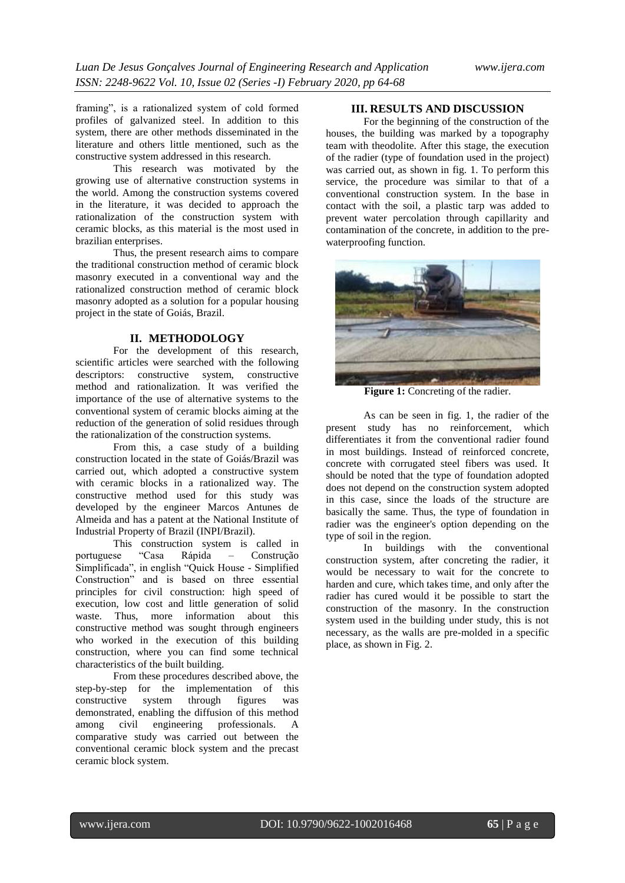framing", is a rationalized system of cold formed profiles of galvanized steel. In addition to this system, there are other methods disseminated in the literature and others little mentioned, such as the constructive system addressed in this research.

This research was motivated by the growing use of alternative construction systems in the world. Among the construction systems covered in the literature, it was decided to approach the rationalization of the construction system with ceramic blocks, as this material is the most used in brazilian enterprises.

Thus, the present research aims to compare the traditional construction method of ceramic block masonry executed in a conventional way and the rationalized construction method of ceramic block masonry adopted as a solution for a popular housing project in the state of Goiás, Brazil.

### **II. METHODOLOGY**

For the development of this research, scientific articles were searched with the following descriptors: constructive system, constructive method and rationalization. It was verified the importance of the use of alternative systems to the conventional system of ceramic blocks aiming at the reduction of the generation of solid residues through the rationalization of the construction systems.

From this, a case study of a building construction located in the state of Goiás/Brazil was carried out, which adopted a constructive system with ceramic blocks in a rationalized way. The constructive method used for this study was developed by the engineer Marcos Antunes de Almeida and has a patent at the National Institute of Industrial Property of Brazil (INPI/Brazil).

This construction system is called in portuguese "Casa Rápida – Construção Simplificada", in english "Quick House - Simplified Construction" and is based on three essential principles for civil construction: high speed of execution, low cost and little generation of solid waste. Thus, more information about this constructive method was sought through engineers who worked in the execution of this building construction, where you can find some technical characteristics of the built building.

From these procedures described above, the step-by-step for the implementation of this constructive system through figures was demonstrated, enabling the diffusion of this method among civil engineering professionals. A comparative study was carried out between the conventional ceramic block system and the precast ceramic block system.

# **III. RESULTS AND DISCUSSION**

For the beginning of the construction of the houses, the building was marked by a topography team with theodolite. After this stage, the execution of the radier (type of foundation used in the project) was carried out, as shown in fig. 1. To perform this service, the procedure was similar to that of a conventional construction system. In the base in contact with the soil, a plastic tarp was added to prevent water percolation through capillarity and contamination of the concrete, in addition to the prewaterproofing function.



**Figure 1:** Concreting of the radier.

As can be seen in fig. 1, the radier of the present study has no reinforcement, which differentiates it from the conventional radier found in most buildings. Instead of reinforced concrete, concrete with corrugated steel fibers was used. It should be noted that the type of foundation adopted does not depend on the construction system adopted in this case, since the loads of the structure are basically the same. Thus, the type of foundation in radier was the engineer's option depending on the type of soil in the region.

In buildings with the conventional construction system, after concreting the radier, it would be necessary to wait for the concrete to harden and cure, which takes time, and only after the radier has cured would it be possible to start the construction of the masonry. In the construction system used in the building under study, this is not necessary, as the walls are pre-molded in a specific place, as shown in Fig. 2.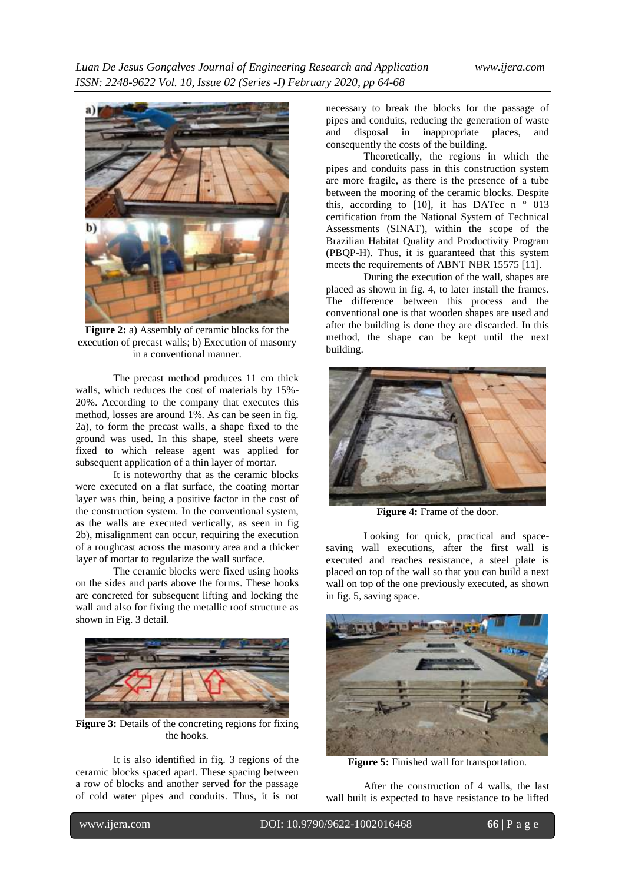

**Figure 2:** a) Assembly of ceramic blocks for the execution of precast walls; b) Execution of masonry in a conventional manner.

The precast method produces 11 cm thick walls, which reduces the cost of materials by 15%- 20%. According to the company that executes this method, losses are around 1%. As can be seen in fig. 2a), to form the precast walls, a shape fixed to the ground was used. In this shape, steel sheets were fixed to which release agent was applied for subsequent application of a thin layer of mortar.

It is noteworthy that as the ceramic blocks were executed on a flat surface, the coating mortar layer was thin, being a positive factor in the cost of the construction system. In the conventional system, as the walls are executed vertically, as seen in fig 2b), misalignment can occur, requiring the execution of a roughcast across the masonry area and a thicker layer of mortar to regularize the wall surface.

The ceramic blocks were fixed using hooks on the sides and parts above the forms. These hooks are concreted for subsequent lifting and locking the wall and also for fixing the metallic roof structure as shown in Fig. 3 detail.



**Figure 3:** Details of the concreting regions for fixing the hooks.

It is also identified in fig. 3 regions of the ceramic blocks spaced apart. These spacing between a row of blocks and another served for the passage of cold water pipes and conduits. Thus, it is not

necessary to break the blocks for the passage of pipes and conduits, reducing the generation of waste and disposal in inappropriate places, and consequently the costs of the building.

Theoretically, the regions in which the pipes and conduits pass in this construction system are more fragile, as there is the presence of a tube between the mooring of the ceramic blocks. Despite this, according to [10], it has DATec n  $\degree$  013 certification from the National System of Technical Assessments (SINAT), within the scope of the Brazilian Habitat Quality and Productivity Program (PBQP-H). Thus, it is guaranteed that this system meets the requirements of ABNT NBR 15575 [11].

During the execution of the wall, shapes are placed as shown in fig. 4, to later install the frames. The difference between this process and the conventional one is that wooden shapes are used and after the building is done they are discarded. In this method, the shape can be kept until the next building.



**Figure 4:** Frame of the door.

Looking for quick, practical and spacesaving wall executions, after the first wall is executed and reaches resistance, a steel plate is placed on top of the wall so that you can build a next wall on top of the one previously executed, as shown in fig. 5, saving space.



**Figure 5:** Finished wall for transportation.

After the construction of 4 walls, the last wall built is expected to have resistance to be lifted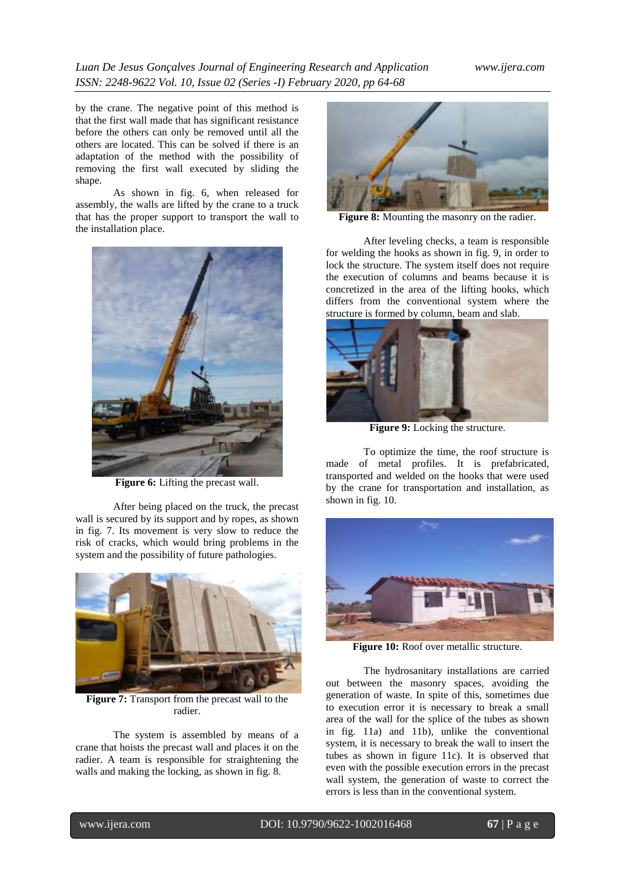# *Luan De Jesus Gonçalves Journal of Engineering Research and Application www.ijera.com ISSN: 2248-9622 Vol. 10, Issue 02 (Series -I) February 2020, pp 64-68*

by the crane. The negative point of this method is that the first wall made that has significant resistance before the others can only be removed until all the others are located. This can be solved if there is an adaptation of the method with the possibility of removing the first wall executed by sliding the shape.

As shown in fig. 6, when released for assembly, the walls are lifted by the crane to a truck that has the proper support to transport the wall to the installation place.



**Figure 6:** Lifting the precast wall.

After being placed on the truck, the precast wall is secured by its support and by ropes, as shown in fig. 7. Its movement is very slow to reduce the risk of cracks, which would bring problems in the system and the possibility of future pathologies.



**Figure 7:** Transport from the precast wall to the radier.

The system is assembled by means of a crane that hoists the precast wall and places it on the radier. A team is responsible for straightening the walls and making the locking, as shown in fig. 8.



**Figure 8:** Mounting the masonry on the radier.

After leveling checks, a team is responsible for welding the hooks as shown in fig. 9, in order to lock the structure. The system itself does not require the execution of columns and beams because it is concretized in the area of the lifting hooks, which differs from the conventional system where the structure is formed by column, beam and slab.



**Figure 9:** Locking the structure.

To optimize the time, the roof structure is made of metal profiles. It is prefabricated, transported and welded on the hooks that were used by the crane for transportation and installation, as shown in fig. 10.



**Figure 10:** Roof over metallic structure.

The hydrosanitary installations are carried out between the masonry spaces, avoiding the generation of waste. In spite of this, sometimes due to execution error it is necessary to break a small area of the wall for the splice of the tubes as shown in fig. 11a) and 11b), unlike the conventional system, it is necessary to break the wall to insert the tubes as shown in figure 11c). It is observed that even with the possible execution errors in the precast wall system, the generation of waste to correct the errors is less than in the conventional system.